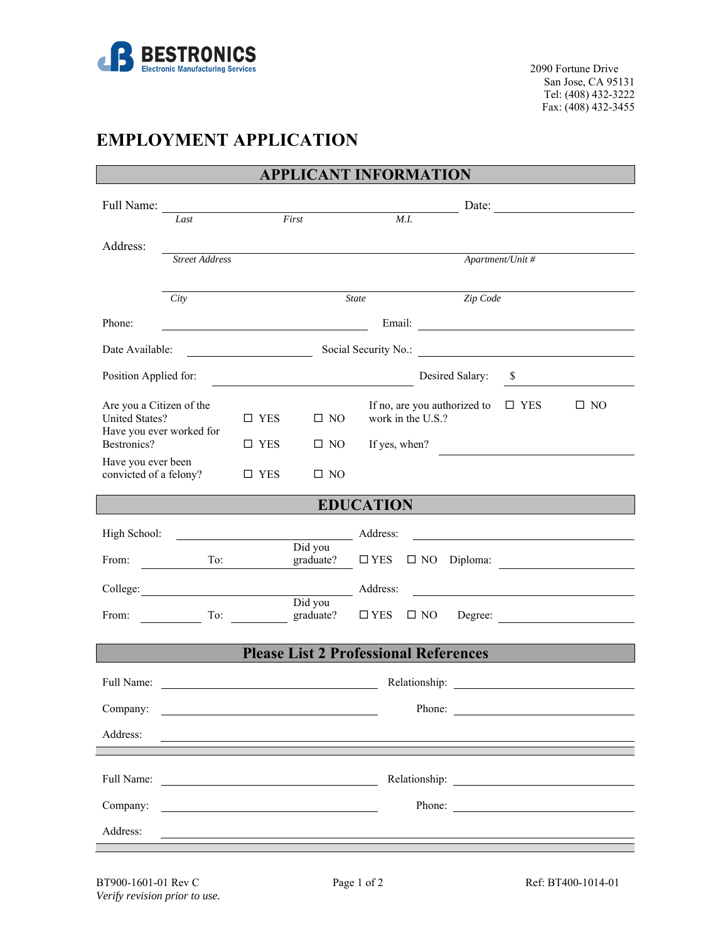

San Jose, CA 95131 Tel: (408) 432-3222 Fax: (408) 432-3455

## **EMPLOYMENT APPLICATION**

| <b>APPLICANT INFORMATION</b>                      |                          |               |                                                         |                   |                                              |                  |              |  |  |  |
|---------------------------------------------------|--------------------------|---------------|---------------------------------------------------------|-------------------|----------------------------------------------|------------------|--------------|--|--|--|
| Full Name:                                        | Last                     |               | First                                                   | Date:<br>M.I.     |                                              |                  |              |  |  |  |
| Address:                                          |                          |               |                                                         |                   |                                              |                  |              |  |  |  |
|                                                   | <b>Street Address</b>    |               |                                                         |                   |                                              | Apartment/Unit # |              |  |  |  |
|                                                   | City                     |               |                                                         | <b>State</b>      | Zip Code                                     |                  |              |  |  |  |
| Phone:                                            |                          |               | <u> 1989 - Johann Barnett, fransk politik (d. 1989)</u> |                   |                                              |                  |              |  |  |  |
| Date Available:                                   |                          |               |                                                         |                   |                                              |                  |              |  |  |  |
| Position Applied for:                             |                          |               |                                                         |                   | Desired Salary:                              | \$               |              |  |  |  |
| Are you a Citizen of the<br><b>United States?</b> |                          | $\square$ YES | $\square$ NO                                            | work in the U.S.? | If no, are you authorized to                 | $\square$ YES    | $\square$ NO |  |  |  |
| Bestronics?                                       | Have you ever worked for | $\square$ YES | $\square$ NO                                            |                   | If yes, when?                                |                  |              |  |  |  |
| Have you ever been<br>convicted of a felony?      |                          | $\square$ YES | $\Box$ NO                                               |                   |                                              |                  |              |  |  |  |
| <b>EDUCATION</b>                                  |                          |               |                                                         |                   |                                              |                  |              |  |  |  |
| High School:                                      |                          |               | Address:                                                |                   |                                              |                  |              |  |  |  |
| From:                                             | To:                      |               | Did you<br>graduate?                                    | $\square$ YES     | $\Box$ NO Diploma:                           |                  |              |  |  |  |
|                                                   | College: Address:        |               | Did you                                                 |                   |                                              |                  |              |  |  |  |
| From:                                             | To:                      |               | graduate?                                               | $\square$ YES     | $\square$ NO                                 |                  | Degree:      |  |  |  |
|                                                   |                          |               |                                                         |                   | <b>Please List 2 Professional References</b> |                  |              |  |  |  |
| Full Name:                                        |                          |               |                                                         |                   |                                              |                  |              |  |  |  |
| Company:                                          |                          |               |                                                         |                   | Phone:                                       |                  |              |  |  |  |
| Address:                                          |                          |               |                                                         |                   |                                              |                  |              |  |  |  |
|                                                   |                          |               |                                                         |                   |                                              |                  |              |  |  |  |
| Full Name:                                        |                          |               |                                                         |                   |                                              |                  |              |  |  |  |
| Company:                                          |                          |               |                                                         |                   | Phone:                                       |                  |              |  |  |  |
| Address:                                          |                          |               |                                                         |                   |                                              |                  |              |  |  |  |